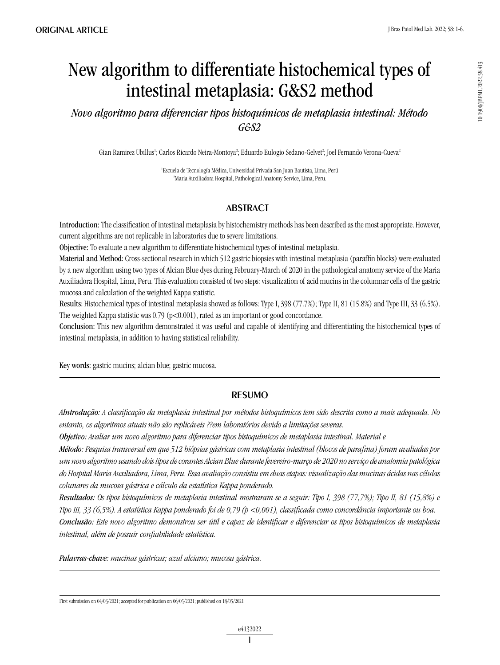0.1900/JBPML2022.58.413 10.1900/JBPML.2022.58.413

# New algorithm to differentiate histochemical types of intestinal metaplasia: G&S2 method

*Novo algoritmo para diferenciar tipos histoquímicos de metaplasia intestinal: Método G&S2*

Gian Ramirez Ubillus<sup>ı</sup>; Carlos Ricardo Neira-Montoya<sup>2</sup>; Eduardo Eulogio Sedano-Gelvet<sup>2</sup>; Joel Fernando Verona-Cueva<sup>2</sup>

1 Escuela de Tecnología Médica, Universidad Privada San Juan Bautista, Lima, Perú 2 Maria Auxiliadora Hospital, Pathological Anatomy Service, Lima, Peru.

# **ABSTRACT**

Introduction: The classification of intestinal metaplasia by histochemistry methods has been described as the most appropriate. However, current algorithms are not replicable in laboratories due to severe limitations.

Objective: To evaluate a new algorithm to differentiate histochemical types of intestinal metaplasia.

Material and Method: Cross-sectional research in which 512 gastric biopsies with intestinal metaplasia (paraffin blocks) were evaluated by a new algorithm using two types of Alcian Blue dyes during February-March of 2020 in the pathological anatomy service of the Maria Auxiliadora Hospital, Lima, Peru. This evaluation consisted of two steps: visualization of acid mucins in the columnar cells of the gastric mucosa and calculation of the weighted Kappa statistic.

Results: Histochemical types of intestinal metaplasia showed as follows: Type I, 398 (77.7%); Type II, 81 (15.8%) and Type III, 33 (6.5%). The weighted Kappa statistic was  $0.79$  (p<0.001), rated as an important or good concordance.

Conclusion: This new algorithm demonstrated it was useful and capable of identifying and differentiating the histochemical types of intestinal metaplasia, in addition to having statistical reliability.

Key words: gastric mucins; alcian blue; gastric mucosa.

### **RESUMO**

*AIntrodução: A classificação da metaplasia intestinal por métodos histoquímicos tem sido descrita como a mais adequada. No entanto, os algoritmos atuais não são replicáveis ??em laboratórios devido a limitações severas.*

*Objetivo: Avaliar um novo algoritmo para diferenciar tipos histoquímicos de metaplasia intestinal. Material e*

*Método: Pesquisa transversal em que 512 biópsias gástricas com metaplasia intestinal (blocos de parafina) foram avaliadas por um novo algoritmo usando dois tipos de corantes Alcian Blue durante fevereiro-março de 2020 no serviço de anatomia patológica do Hospital Maria Auxiliadora, Lima, Peru. Essa avaliação consistiu em duas etapas: visualização das mucinas ácidas nas células colunares da mucosa gástrica e cálculo da estatística Kappa ponderado.*

*Resultados: Os tipos histoquímicos de metaplasia intestinal mostraram-se a seguir: Tipo I, 398 (77,7%); Tipo II, 81 (15,8%) e Tipo III, 33 (6,5%). A estatística Kappa ponderado foi de 0,79 (p <0,001), classificada como concordância importante ou boa. Conclusão: Este novo algoritmo demonstrou ser útil e capaz de identificar e diferenciar os tipos histoquímicos de metaplasia intestinal, além de possuir confiabilidade estatística.*

*Palavras-chave: mucinas gástricas; azul alciano; mucosa gástrica.*

First submission on 04/03/2021; accepted for publication on 06/05/2021; published on 18/05/2021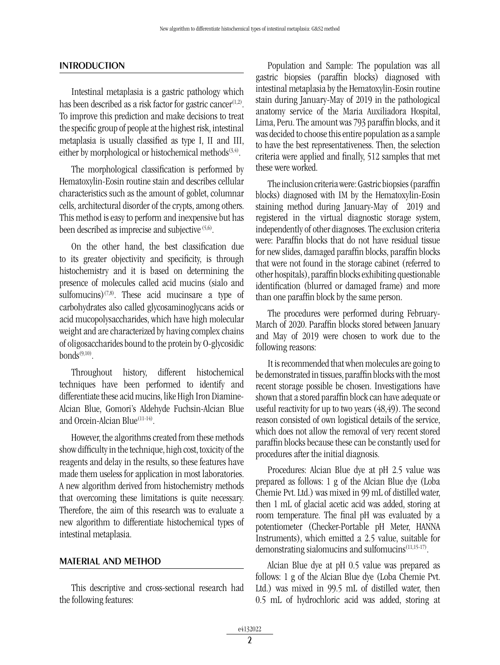#### **INTRODUCTION**

Intestinal metaplasia is a gastric pathology which has been described as a risk factor for gastric cancer $(1,2)$ . To improve this prediction and make decisions to treat the specific group of people at the highest risk, intestinal metaplasia is usually classified as type I, II and III, either by morphological or histochemical methods<sup> $(3,4)$ </sup>.

The morphological classification is performed by Hematoxylin-Eosin routine stain and describes cellular characteristics such as the amount of goblet, columnar cells, architectural disorder of the crypts, among others. This method is easy to perform and inexpensive but has been described as imprecise and subjective  $(5,6)$ .

On the other hand, the best classification due to its greater objectivity and specificity, is through histochemistry and it is based on determining the presence of molecules called acid mucins (sialo and sulfomucins)<sup> $(7,8)$ </sup>. These acid mucinsare a type of carbohydrates also called glycosaminoglycans acids or acid mucopolysaccharides, which have high molecular weight and are characterized by having complex chains of oligosaccharides bound to the protein by O-glycosidic  $bonds^{(9,10)}$ 

Throughout history, different histochemical techniques have been performed to identify and differentiate these acid mucins, like High Iron Diamine-Alcian Blue, Gomori's Aldehyde Fuchsin-Alcian Blue and Orcein-Alcian Blue<sup>(11-14)</sup>.

However, the algorithms created from these methods show difficulty in the technique, high cost, toxicity of the reagents and delay in the results, so these features have made them useless for application in most laboratories. A new algorithm derived from histochemistry methods that overcoming these limitations is quite necessary. Therefore, the aim of this research was to evaluate a new algorithm to differentiate histochemical types of intestinal metaplasia.

#### MATERIAL AND METHOD

This descriptive and cross-sectional research had the following features:

Population and Sample: The population was all gastric biopsies (paraffin blocks) diagnosed with intestinal metaplasia by the Hematoxylin-Eosin routine stain during January-May of 2019 in the pathological anatomy service of the Maria Auxiliadora Hospital, Lima, Peru. The amount was 793 paraffin blocks, and it was decided to choose this entire population as a sample to have the best representativeness. Then, the selection criteria were applied and finally, 512 samples that met these were worked.

The inclusion criteria were: Gastric biopsies (paraffin blocks) diagnosed with IM by the Hematoxylin-Eosin staining method during January-May of 2019 and registered in the virtual diagnostic storage system, independently of other diagnoses. The exclusion criteria were: Paraffin blocks that do not have residual tissue for new slides, damaged paraffin blocks, paraffin blocks that were not found in the storage cabinet (referred to other hospitals), paraffin blocks exhibiting questionable identification (blurred or damaged frame) and more than one paraffin block by the same person.

The procedures were performed during February-March of 2020. Paraffin blocks stored between January and May of 2019 were chosen to work due to the following reasons:

It is recommended that when molecules are going to be demonstrated in tissues, paraffin blocks with the most recent storage possible be chosen. Investigations have shown that a stored paraffin block can have adequate or useful reactivity for up to two years (48,49). The second reason consisted of own logistical details of the service, which does not allow the removal of very recent stored paraffin blocks because these can be constantly used for procedures after the initial diagnosis.

Procedures: Alcian Blue dye at pH 2.5 value was prepared as follows: 1 g of the Alcian Blue dye (Loba Chemie Pvt. Ltd.) was mixed in 99 mL of distilled water, then 1 mL of glacial acetic acid was added, storing at room temperature. The final pH was evaluated by a potentiometer (Checker-Portable pH Meter, HANNA Instruments), which emitted a 2.5 value, suitable for demonstrating sialomucins and sulfomucins(11,15-17).

Alcian Blue dye at pH 0.5 value was prepared as follows: 1 g of the Alcian Blue dye (Loba Chemie Pvt. Ltd.) was mixed in 99.5 mL of distilled water, then 0.5 mL of hydrochloric acid was added, storing at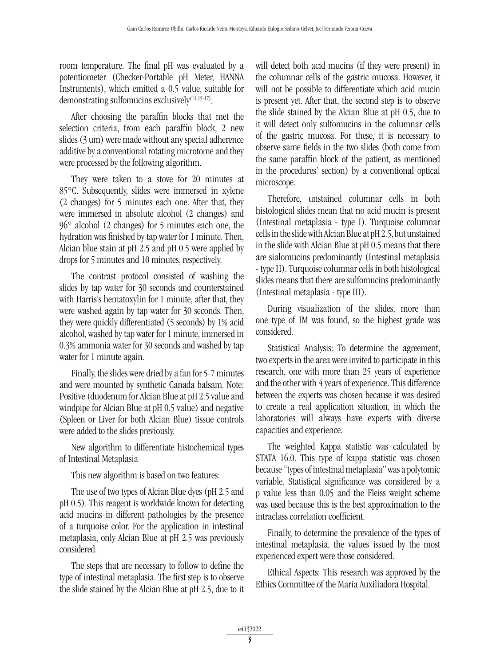room temperature. The final pH was evaluated by a potentiometer (Checker-Portable pH Meter, HANNA Instruments), which emitted a 0.5 value, suitable for demonstrating sulfomucins exclusively<sup>(11,15-17)</sup>.

After choosing the paraffin blocks that met the selection criteria, from each paraffin block, 2 new slides (3 um) were made without any special adherence additive by a conventional rotating microtome and they were processed by the following algorithm.

They were taken to a stove for 20 minutes at 85°C. Subsequently, slides were immersed in xylene (2 changes) for 5 minutes each one. After that, they were immersed in absolute alcohol (2 changes) and 96° alcohol (2 changes) for 5 minutes each one, the hydration was finished by tap water for 1 minute. Then, Alcian blue stain at pH 2.5 and pH 0.5 were applied by drops for 5 minutes and 10 minutes, respectively.

The contrast protocol consisted of washing the slides by tap water for 30 seconds and counterstained with Harris's hematoxylin for 1 minute, after that, they were washed again by tap water for 30 seconds. Then, they were quickly differentiated (5 seconds) by 1% acid alcohol, washed by tap water for 1 minute, immersed in 0.3% ammonia water for 30 seconds and washed by tap water for 1 minute again.

Finally, the slides were dried by a fan for 5-7 minutes and were mounted by synthetic Canada balsam. Note: Positive (duodenum for Alcian Blue at pH 2.5 value and windpipe for Alcian Blue at pH 0.5 value) and negative (Spleen or Liver for both Alcian Blue) tissue controls were added to the slides previously.

New algorithm to differentiate histochemical types of Intestinal Metaplasia

This new algorithm is based on two features:

The use of two types of Alcian Blue dyes (pH 2.5 and pH 0.5). This reagent is worldwide known for detecting acid mucins in different pathologies by the presence of a turquoise color. For the application in intestinal metaplasia, only Alcian Blue at pH 2.5 was previously considered.

The steps that are necessary to follow to define the type of intestinal metaplasia. The first step is to observe the slide stained by the Alcian Blue at pH 2.5, due to it will detect both acid mucins (if they were present) in the columnar cells of the gastric mucosa. However, it will not be possible to differentiate which acid mucin is present yet. After that, the second step is to observe the slide stained by the Alcian Blue at pH 0.5, due to it will detect only sulfomucins in the columnar cells of the gastric mucosa. For these, it is necessary to observe same fields in the two slides (both come from the same paraffin block of the patient, as mentioned in the procedures' section) by a conventional optical microscope.

Therefore, unstained columnar cells in both histological slides mean that no acid mucin is present (Intestinal metaplasia - type I). Turquoise columnar cells in the slide with Alcian Blue at pH 2.5, but unstained in the slide with Alcian Blue at pH 0.5 means that there are sialomucins predominantly (Intestinal metaplasia - type II). Turquoise columnar cells in both histological slides means that there are sulfomucins predominantly (Intestinal metaplasia - type III).

During visualization of the slides, more than one type of IM was found, so the highest grade was considered.

Statistical Analysis: To determine the agreement, two experts in the area were invited to participate in this research, one with more than 25 years of experience and the other with 4 years of experience. This difference between the experts was chosen because it was desired to create a real application situation, in which the laboratories will always have experts with diverse capacities and experience.

The weighted Kappa statistic was calculated by STATA 16.0. This type of kappa statistic was chosen because "types of intestinal metaplasia" was a polytomic variable. Statistical significance was considered by a p value less than 0.05 and the Fleiss weight scheme was used because this is the best approximation to the intraclass correlation coefficient.

Finally, to determine the prevalence of the types of intestinal metaplasia, the values issued by the most experienced expert were those considered.

Ethical Aspects: This research was approved by the Ethics Committee of the Maria Auxiliadora Hospital.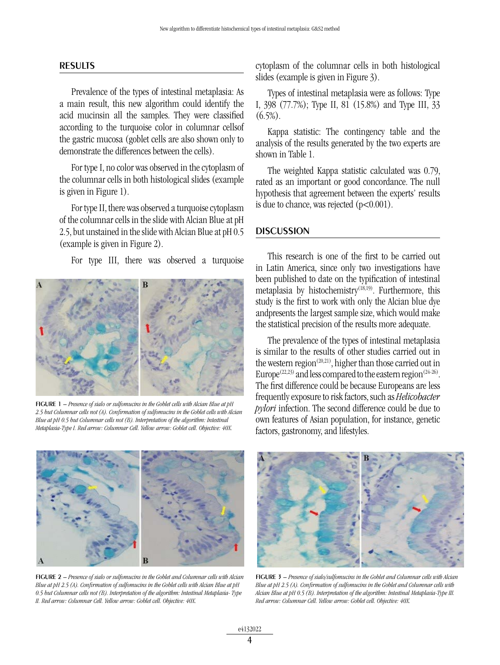#### RESULTS

Prevalence of the types of intestinal metaplasia: As a main result, this new algorithm could identify the acid mucinsin all the samples. They were classified according to the turquoise color in columnar cellsof the gastric mucosa (goblet cells are also shown only to demonstrate the differences between the cells).

For type I, no color was observed in the cytoplasm of the columnar cells in both histological slides (example is given in Figure 1).

For type II, there was observed a turquoise cytoplasm of the columnar cells in the slide with Alcian Blue at pH 2.5, but unstained in the slide with Alcian Blue at pH 0.5 (example is given in Figure 2).

For type III, there was observed a turquoise



figure 1 – *Presence of sialo or sulfomucins in the Goblet cells with Alcian Blue at pH 2.5 but Columnar cells not (A). Confirmation of sulfomucins in the Goblet cells with Alcian Blue at pH 0.5 but Columnar cells not (B). Interpretation of the algorithm: Intestinal Metaplasia-Type I. Red arrow: Columnar Cell. Yellow arrow: Goblet cell. Objective: 40X.*

cytoplasm of the columnar cells in both histological slides (example is given in Figure 3).

Types of intestinal metaplasia were as follows: Type I, 398 (77.7%); Type II, 81 (15.8%) and Type III, 33  $(6.5\%)$ .

Kappa statistic: The contingency table and the analysis of the results generated by the two experts are shown in Table 1.

The weighted Kappa statistic calculated was 0.79, rated as an important or good concordance. The null hypothesis that agreement between the experts' results is due to chance, was rejected  $(p<0.001)$ .

#### **DISCUSSION**

This research is one of the first to be carried out in Latin America, since only two investigations have been published to date on the typification of intestinal metaplasia by histochemistry<sup>(18,19)</sup>. Furthermore, this study is the first to work with only the Alcian blue dye andpresents the largest sample size, which would make the statistical precision of the results more adequate.

The prevalence of the types of intestinal metaplasia is similar to the results of other studies carried out in the western region<sup> $(20,21)$ </sup>, higher than those carried out in Europe<sup>(22,23)</sup> and less compared to the eastern region<sup>(24-26)</sup>. The first difference could be because Europeans are less frequently exposure to risk factors, such as *Helicobacter pylori* infection. The second difference could be due to own features of Asian population, for instance, genetic factors, gastronomy, and lifestyles.



figure 2 – *Presence of sialo or sulfomucins in the Goblet and Columnar cells with Alcian Blue at pH 2.5 (A). Confirmation of sulfomucins in the Goblet cells with Alcian Blue at pH 0.5 but Columnar cells not (B). Interpretation of the algorithm: Intestinal Metaplasia- Type II. Red arrow: Columnar Cell. Yellow arrow: Goblet cell. Objective: 40X.*



figure 3 – *Presence of sialo/sulfomucins in the Goblet and Columnar cells with Alcian Blue at pH 2.5 (A). Confirmation of sulfomucins in the Goblet and Columnar cells with Alcian Blue at pH 0.5 (B). Interpretation of the algorithm: Intestinal Metaplasia-Type III. Red arrow: Columnar Cell. Yellow arrow: Goblet cell. Objective: 40X.*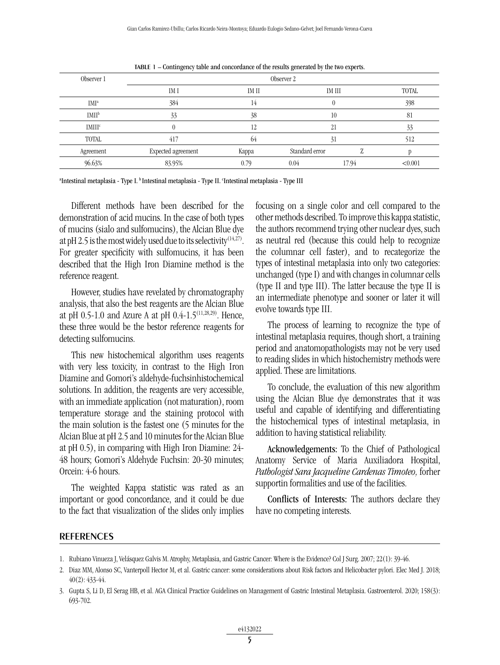| Observer 1               | Observer 2         |       |                |        |              |
|--------------------------|--------------------|-------|----------------|--------|--------------|
|                          | IM I               | IM II |                | IM III | <b>TOTAL</b> |
| IMI <sup>a</sup>         | 384                | 14    |                |        | 398          |
| <b>IMII</b> <sup>b</sup> | 33                 | 38    | 10             |        | 81           |
| <b>IMIII<sup>c</sup></b> | $\theta$           | 12    | 21             |        | 33           |
| <b>TOTAL</b>             | 417                | 64    | 31             |        | 512          |
| Agreement                | Expected agreement | Kappa | Standard error |        |              |
| 96.63%                   | 83.95%             | 0.79  | 0.04           | 17.94  | < 0.001      |

table 1 – Contingency table and concordance of the results generated by the two experts.

<sup>a</sup>Intestinal metaplasia - Type I. <sup>b</sup> Intestinal metaplasia - Type II. <sup>c</sup>Intestinal metaplasia - Type III

Different methods have been described for the demonstration of acid mucins. In the case of both types of mucins (sialo and sulfomucins), the Alcian Blue dye at pH 2.5 is the most widely used due to its selectivity<sup>(14,27)</sup>. For greater specificity with sulfomucins, it has been described that the High Iron Diamine method is the reference reagent.

However, studies have revelated by chromatography analysis, that also the best reagents are the Alcian Blue at pH 0.5-1.0 and Azure A at pH 0.4-1.5<sup>(11,28,29)</sup>. Hence, these three would be the bestor reference reagents for detecting sulfomucins.

This new histochemical algorithm uses reagents with very less toxicity, in contrast to the High Iron Diamine and Gomori's aldehyde-fuchsinhistochemical solutions. In addition, the reagents are very accessible, with an immediate application (not maturation), room temperature storage and the staining protocol with the main solution is the fastest one (5 minutes for the Alcian Blue at pH 2.5 and 10 minutes for the Alcian Blue at pH 0.5), in comparing with High Iron Diamine: 24- 48 hours; Gomori's Aldehyde Fuchsin: 20-30 minutes; Orcein: 4-6 hours.

The weighted Kappa statistic was rated as an important or good concordance, and it could be due to the fact that visualization of the slides only implies focusing on a single color and cell compared to the other methods described. To improve this kappa statistic, the authors recommend trying other nuclear dyes, such as neutral red (because this could help to recognize the columnar cell faster), and to recategorize the types of intestinal metaplasia into only two categories: unchanged (type I) and with changes in columnar cells (type II and type III). The latter because the type II is an intermediate phenotype and sooner or later it will evolve towards type III.

The process of learning to recognize the type of intestinal metaplasia requires, though short, a training period and anatomopathologists may not be very used to reading slides in which histochemistry methods were applied. These are limitations.

To conclude, the evaluation of this new algorithm using the Alcian Blue dye demonstrates that it was useful and capable of identifying and differentiating the histochemical types of intestinal metaplasia, in addition to having statistical reliability.

Acknowledgements: To the Chief of Pathological Anatomy Service of Maria Auxiliadora Hospital, *Pathologist Sara Jacqueline Cardenas Timoteo,* forher supportin formalities and use of the facilities.

Conflicts of Interests: The authors declare they have no competing interests.

#### **REFERENCES**

<sup>1.</sup> Rubiano Vinueza J, Velásquez Galvis M. Atrophy, Metaplasia, and Gastric Cancer: Where is the Evidence? Col J Surg. 2007; 22(1): 39-46.

<sup>2.</sup> Diaz MM, Alonso SC, Vanterpoll Hector M, et al. Gastric cancer: some considerations about Risk factors and Helicobacter pylori. Elec Med J. 2018; 40(2): 433-44.

<sup>3.</sup> Gupta S, Li D, El Serag HB, et al. AGA Clinical Practice Guidelines on Management of Gastric Intestinal Metaplasia. Gastroenterol. 2020; 158(3): 693-702.